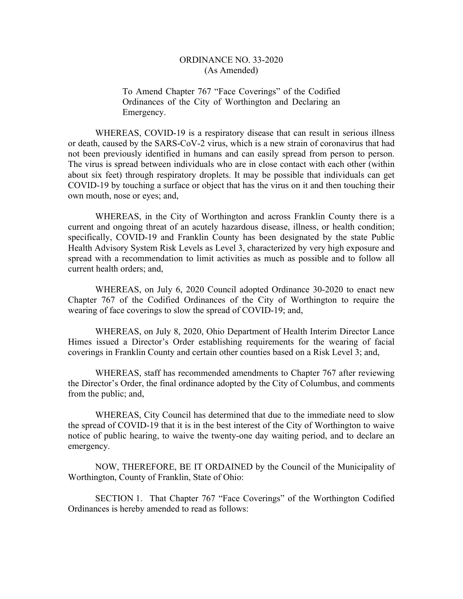To Amend Chapter 767 "Face Coverings" of the Codified Ordinances of the City of Worthington and Declaring an Emergency.

WHEREAS, COVID-19 is a respiratory disease that can result in serious illness or death, caused by the SARS-CoV-2 virus, which is a new strain of coronavirus that had not been previously identified in humans and can easily spread from person to person. The virus is spread between individuals who are in close contact with each other (within about six feet) through respiratory droplets. It may be possible that individuals can get COVID-19 by touching a surface or object that has the virus on it and then touching their own mouth, nose or eyes; and,

WHEREAS, in the City of Worthington and across Franklin County there is a current and ongoing threat of an acutely hazardous disease, illness, or health condition; specifically, COVID-19 and Franklin County has been designated by the state Public Health Advisory System Risk Levels as Level 3, characterized by very high exposure and spread with a recommendation to limit activities as much as possible and to follow all current health orders; and,

WHEREAS, on July 6, 2020 Council adopted Ordinance 30-2020 to enact new Chapter 767 of the Codified Ordinances of the City of Worthington to require the wearing of face coverings to slow the spread of COVID-19; and,

WHEREAS, on July 8, 2020, Ohio Department of Health Interim Director Lance Himes issued a Director's Order establishing requirements for the wearing of facial coverings in Franklin County and certain other counties based on a Risk Level 3; and,

WHEREAS, staff has recommended amendments to Chapter 767 after reviewing the Director's Order, the final ordinance adopted by the City of Columbus, and comments from the public; and,

WHEREAS, City Council has determined that due to the immediate need to slow the spread of COVID-19 that it is in the best interest of the City of Worthington to waive notice of public hearing, to waive the twenty-one day waiting period, and to declare an emergency.

NOW, THEREFORE, BE IT ORDAINED by the Council of the Municipality of Worthington, County of Franklin, State of Ohio:

SECTION 1. That Chapter 767 "Face Coverings" of the Worthington Codified Ordinances is hereby amended to read as follows: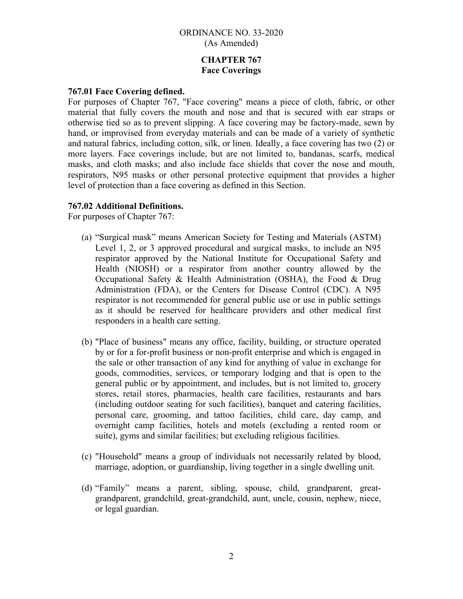# **CHAPTER 767 Face Coverings**

### **767.01 Face Covering defined.**

For purposes of Chapter 767, "Face covering" means a piece of cloth, fabric, or other material that fully covers the mouth and nose and that is secured with ear straps or otherwise tied so as to prevent slipping. A face covering may be factory-made, sewn by hand, or improvised from everyday materials and can be made of a variety of synthetic and natural fabrics, including cotton, silk, or linen. Ideally, a face covering has two (2) or more layers. Face coverings include, but are not limited to, bandanas, scarfs, medical masks, and cloth masks; and also include face shields that cover the nose and mouth, respirators, N95 masks or other personal protective equipment that provides a higher level of protection than a face covering as defined in this Section.

## **767.02 Additional Definitions.**

For purposes of Chapter 767:

- (a) "Surgical mask" means American Society for Testing and Materials (ASTM) Level 1, 2, or 3 approved procedural and surgical masks, to include an N95 respirator approved by the National Institute for Occupational Safety and Health (NIOSH) or a respirator from another country allowed by the Occupational Safety & Health Administration (OSHA), the Food & Drug Administration (FDA), or the Centers for Disease Control (CDC). A N95 respirator is not recommended for general public use or use in public settings as it should be reserved for healthcare providers and other medical first responders in a health care setting.
- (b) "Place of business" means any office, facility, building, or structure operated by or for a for-profit business or non-profit enterprise and which is engaged in the sale or other transaction of any kind for anything of value in exchange for goods, commodities, services, or temporary lodging and that is open to the general public or by appointment, and includes, but is not limited to, grocery stores, retail stores, pharmacies, health care facilities, restaurants and bars (including outdoor seating for such facilities), banquet and catering facilities, personal care, grooming, and tattoo facilities, child care, day camp, and overnight camp facilities, hotels and motels (excluding a rented room or suite), gyms and similar facilities; but excluding religious facilities.
- (c) "Household" means a group of individuals not necessarily related by blood, marriage, adoption, or guardianship, living together in a single dwelling unit.
- (d) "Family" means a parent, sibling, spouse, child, grandparent, greatgrandparent, grandchild, great-grandchild, aunt, uncle, cousin, nephew, niece, or legal guardian.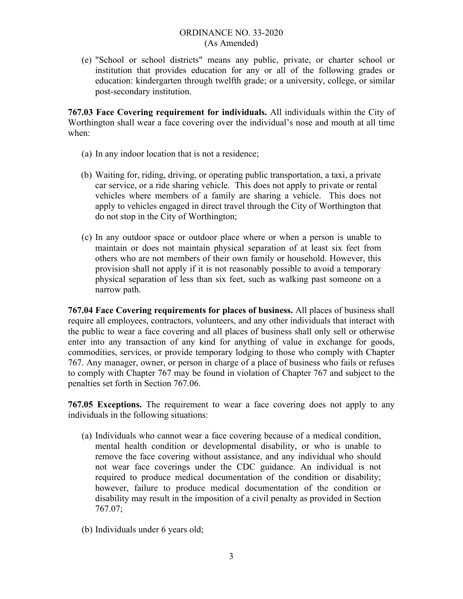(e) "School or school districts" means any public, private, or charter school or institution that provides education for any or all of the following grades or education: kindergarten through twelfth grade; or a university, college, or similar post-secondary institution.

**767.03 Face Covering requirement for individuals.** All individuals within the City of Worthington shall wear a face covering over the individual's nose and mouth at all time when:

- (a) In any indoor location that is not a residence;
- (b) Waiting for, riding, driving, or operating public transportation, a taxi, a private car service, or a ride sharing vehicle. This does not apply to private or rental vehicles where members of a family are sharing a vehicle. This does not apply to vehicles engaged in direct travel through the City of Worthington that do not stop in the City of Worthington;
- (c) In any outdoor space or outdoor place where or when a person is unable to maintain or does not maintain physical separation of at least six feet from others who are not members of their own family or household. However, this provision shall not apply if it is not reasonably possible to avoid a temporary physical separation of less than six feet, such as walking past someone on a narrow path.

**767.04 Face Covering requirements for places of business.** All places of business shall require all employees, contractors, volunteers, and any other individuals that interact with the public to wear a face covering and all places of business shall only sell or otherwise enter into any transaction of any kind for anything of value in exchange for goods, commodities, services, or provide temporary lodging to those who comply with Chapter 767. Any manager, owner, or person in charge of a place of business who fails or refuses to comply with Chapter 767 may be found in violation of Chapter 767 and subject to the penalties set forth in Section 767.06.

**767.05 Exceptions.** The requirement to wear a face covering does not apply to any individuals in the following situations:

- (a) Individuals who cannot wear a face covering because of a medical condition, mental health condition or developmental disability, or who is unable to remove the face covering without assistance, and any individual who should not wear face coverings under the CDC guidance. An individual is not required to produce medical documentation of the condition or disability; however, failure to produce medical documentation of the condition or disability may result in the imposition of a civil penalty as provided in Section 767.07;
- (b) Individuals under 6 years old;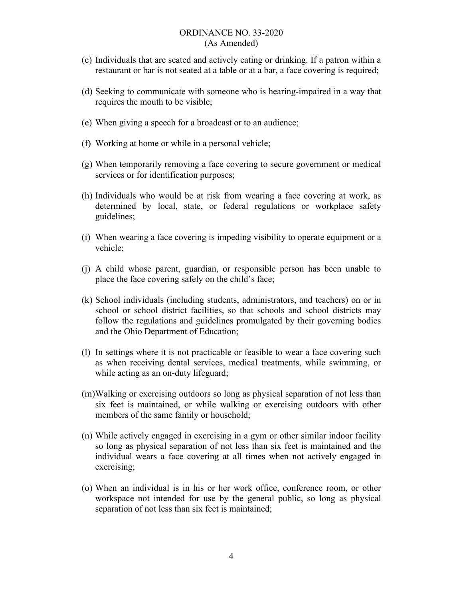- (c) Individuals that are seated and actively eating or drinking. If a patron within a restaurant or bar is not seated at a table or at a bar, a face covering is required;
- (d) Seeking to communicate with someone who is hearing-impaired in a way that requires the mouth to be visible;
- (e) When giving a speech for a broadcast or to an audience;
- (f) Working at home or while in a personal vehicle;
- (g) When temporarily removing a face covering to secure government or medical services or for identification purposes;
- (h) Individuals who would be at risk from wearing a face covering at work, as determined by local, state, or federal regulations or workplace safety guidelines;
- (i) When wearing a face covering is impeding visibility to operate equipment or a vehicle;
- (j) A child whose parent, guardian, or responsible person has been unable to place the face covering safely on the child's face;
- (k) School individuals (including students, administrators, and teachers) on or in school or school district facilities, so that schools and school districts may follow the regulations and guidelines promulgated by their governing bodies and the Ohio Department of Education;
- (l) In settings where it is not practicable or feasible to wear a face covering such as when receiving dental services, medical treatments, while swimming, or while acting as an on-duty lifeguard;
- (m)Walking or exercising outdoors so long as physical separation of not less than six feet is maintained, or while walking or exercising outdoors with other members of the same family or household;
- (n) While actively engaged in exercising in a gym or other similar indoor facility so long as physical separation of not less than six feet is maintained and the individual wears a face covering at all times when not actively engaged in exercising;
- (o) When an individual is in his or her work office, conference room, or other workspace not intended for use by the general public, so long as physical separation of not less than six feet is maintained;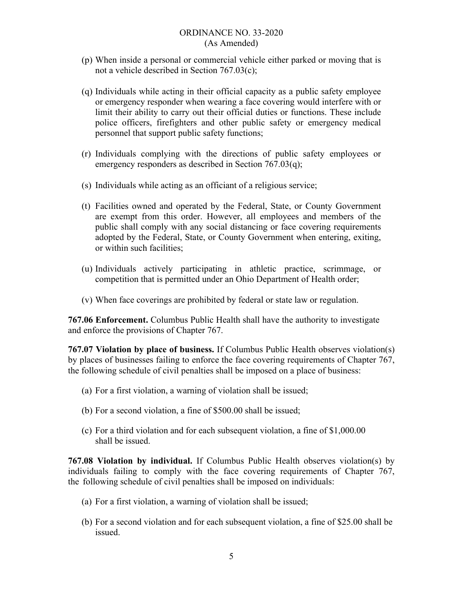- (p) When inside a personal or commercial vehicle either parked or moving that is not a vehicle described in Section 767.03(c);
- (q) Individuals while acting in their official capacity as a public safety employee or emergency responder when wearing a face covering would interfere with or limit their ability to carry out their official duties or functions. These include police officers, firefighters and other public safety or emergency medical personnel that support public safety functions;
- (r) Individuals complying with the directions of public safety employees or emergency responders as described in Section 767.03(q);
- (s) Individuals while acting as an officiant of a religious service;
- (t) Facilities owned and operated by the Federal, State, or County Government are exempt from this order. However, all employees and members of the public shall comply with any social distancing or face covering requirements adopted by the Federal, State, or County Government when entering, exiting, or within such facilities;
- (u) Individuals actively participating in athletic practice, scrimmage, or competition that is permitted under an Ohio Department of Health order;
- (v) When face coverings are prohibited by federal or state law or regulation.

**767.06 Enforcement.** Columbus Public Health shall have the authority to investigate and enforce the provisions of Chapter 767.

**767.07 Violation by place of business.** If Columbus Public Health observes violation(s) by places of businesses failing to enforce the face covering requirements of Chapter 767, the following schedule of civil penalties shall be imposed on a place of business:

- (a) For a first violation, a warning of violation shall be issued;
- (b) For a second violation, a fine of \$500.00 shall be issued;
- (c) For a third violation and for each subsequent violation, a fine of \$1,000.00 shall be issued.

**767.08 Violation by individual.** If Columbus Public Health observes violation(s) by individuals failing to comply with the face covering requirements of Chapter 767, the following schedule of civil penalties shall be imposed on individuals:

- (a) For a first violation, a warning of violation shall be issued;
- (b) For a second violation and for each subsequent violation, a fine of \$25.00 shall be issued.